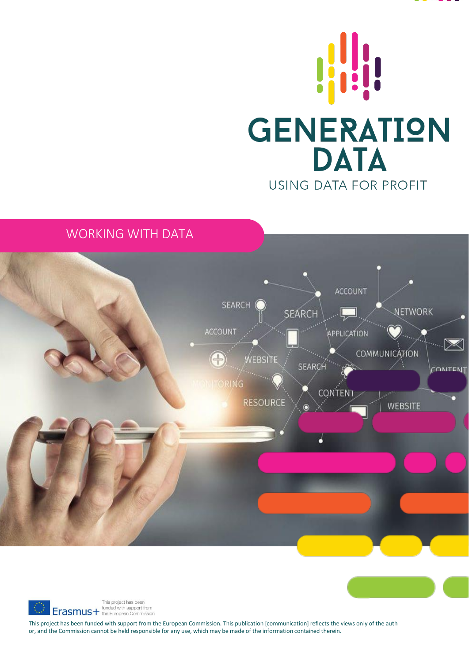



## WORKING WITH DATA





This project has been funded with support from the European Commission. This publication [communication] reflects the views only of the auth or, and the Commission cannot be held responsible for any use, which may be made of the information contained therein.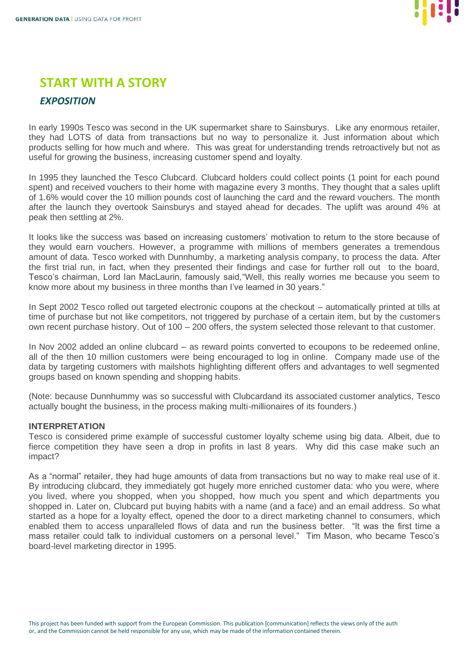

## **START WITH A STORY**

## *EXPOSITION*

In early 1990s Tesco was second in the UK supermarket share to Sainsburys. Like any enormous retailer, they had LOTS of data from transactions but no way to personalize it. Just information about which products selling for how much and where. This was great for understanding trends retroactively but not as useful for growing the business, increasing customer spend and loyalty.

In 1995 they launched the Tesco Clubcard. Clubcard holders could collect points (1 point for each pound spent) and received vouchers to their home with magazine every 3 months. They thought that a sales uplift of 1.6% would cover the 10 million pounds cost of launching the card and the reward vouchers. The month after the launch they overtook Sainsburys and stayed ahead for decades. The uplift was around 4% at peak then settling at 2%.

It looks like the success was based on increasing customers' motivation to return to the store because of they would earn vouchers. However, a programme with millions of members generates a tremendous amount of data. Tesco worked with Dunnhumby, a marketing analysis company, to process the data. After the first trial run, in fact, when they presented their findings and case for further roll out to the board, Tesco's chairman, Lord Ian MacLaurin, famously said,"Well, this really worries me because you seem to know more about my business in three months than I've learned in 30 years."

In Sept 2002 Tesco rolled out targeted electronic coupons at the checkout – automatically printed at tills at time of purchase but not like competitors, not triggered by purchase of a certain item, but by the customers own recent purchase history. Out of 100 – 200 offers, the system selected those relevant to that customer.

In Nov 2002 added an online clubcard – as reward points converted to ecoupons to be redeemed online, all of the then 10 million customers were being encouraged to log in online. Company made use of the data by targeting customers with mailshots highlighting different offers and advantages to well segmented groups based on known spending and shopping habits.

(Note: because Dunnhummy was so successful with Clubcardand its associated customer analytics, Tesco actually bought the business, in the process making multi-millionaires of its founders.)

#### **INTERPRETATION**

Tesco is considered prime example of successful customer loyalty scheme using big data. Albeit, due to fierce competition they have seen a drop in profits in last 8 years. Why did this case make such an impact?

As a "normal" retailer, they had huge amounts of data from transactions but no way to make real use of it. By introducing clubcard, they immediately got hugely more enriched customer data: who you were, where you lived, where you shopped, when you shopped, how much you spent and which departments you shopped in. Later on, Clubcard put buying habits with a name (and a face) and an email address. So what started as a hope for a loyalty effect, opened the door to a direct marketing channel to consumers, which enabled them to access unparalleled flows of data and run the business better. "It was the first time a mass retailer could talk to individual customers on a personal level." Tim Mason, who became Tesco's board-level marketing director in 1995.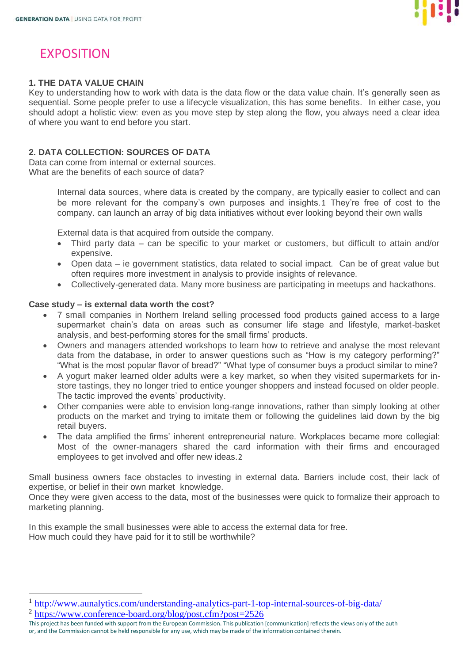

# EXPOSITION

## **1. THE DATA VALUE CHAIN**

Key to understanding how to work with data is the data flow or the data value chain. It's generally seen as sequential. Some people prefer to use a lifecycle visualization, this has some benefits. In either case, you should adopt a holistic view: even as you move step by step along the flow, you always need a clear idea of where you want to end before you start.

## **2. DATA COLLECTION: SOURCES OF DATA**

Data can come from internal or external sources. What are the benefits of each source of data?

> Internal data sources, where data is created by the company, are typically easier to collect and can be more relevant for the company's own purposes and insights.1 They're free of cost to the company. can launch an array of big data initiatives without ever looking beyond their own walls

External data is that acquired from outside the company.

- Third party data can be specific to your market or customers, but difficult to attain and/or expensive.
- Open data ie government statistics, data related to social impact. Can be of great value but often requires more investment in analysis to provide insights of relevance.
- Collectively-generated data. Many more business are participating in meetups and hackathons.

### **Case study – is external data worth the cost?**

- 7 small companies in Northern Ireland selling processed food products gained access to a large supermarket chain's data on areas such as consumer life stage and lifestyle, market-basket analysis, and best-performing stores for the small firms' products.
- Owners and managers attended workshops to learn how to retrieve and analyse the most relevant data from the database, in order to answer questions such as "How is my category performing?" "What is the most popular flavor of bread?" "What type of consumer buys a product similar to mine?
- A yogurt maker learned older adults were a key market, so when they visited supermarkets for instore tastings, they no longer tried to entice younger shoppers and instead focused on older people. The tactic improved the events' productivity.
- Other companies were able to envision long-range innovations, rather than simply looking at other products on the market and trying to imitate them or following the guidelines laid down by the big retail buyers.
- The data amplified the firms' inherent entrepreneurial nature. Workplaces became more collegial: Most of the owner-managers shared the card information with their firms and encouraged employees to get involved and offer new ideas.2

Small business owners face obstacles to investing in external data. Barriers include cost, their lack of expertise, or belief in their own market knowledge.

Once they were given access to the data, most of the businesses were quick to formalize their approach to marketing planning.

In this example the small businesses were able to access the external data for free. How much could they have paid for it to still be worthwhile?

<sup>2</sup> <https://www.conference-board.org/blog/post.cfm?post=2526>

<sup>1</sup> <http://www.aunalytics.com/understanding-analytics-part-1-top-internal-sources-of-big-data/>

This project has been funded with support from the European Commission. This publication [communication] reflects the views only of the auth or, and the Commission cannot be held responsible for any use, which may be made of the information contained therein.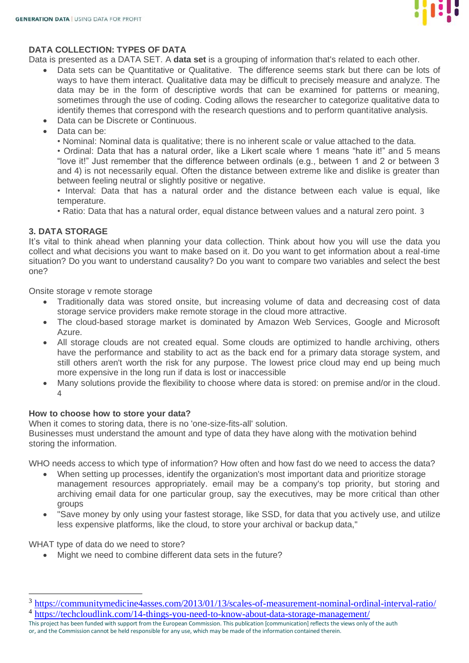

#### **DATA COLLECTION: TYPES OF DATA**

Data is presented as a DATA SET. A **data set** is a grouping of information that's related to each other.

- Data sets can be Quantitative or Qualitative. The difference seems stark but there can be lots of ways to have them interact. Qualitative data may be difficult to precisely measure and analyze. The data may be in the form of descriptive words that can be examined for patterns or meaning, sometimes through the use of coding. Coding allows the researcher to categorize qualitative data to identify themes that correspond with the research questions and to perform quantitative analysis.
- Data can be Discrete or Continuous.
- Data can be:

• Nominal: Nominal data is qualitative; there is no inherent scale or value attached to the data.

• Ordinal: Data that has a natural order, like a Likert scale where 1 means "hate it!" and 5 means "love it!" Just remember that the difference between ordinals (e.g., between 1 and 2 or between 3 and 4) is not necessarily equal. Often the distance between extreme like and dislike is greater than between feeling neutral or slightly positive or negative.

• Interval: Data that has a natural order and the distance between each value is equal, like temperature.

• Ratio: Data that has a natural order, equal distance between values and a natural zero point. 3

#### **3. DATA STORAGE**

It's vital to think ahead when planning your data collection. Think about how you will use the data you collect and what decisions you want to make based on it. Do you want to get information about a real-time situation? Do you want to understand causality? Do you want to compare two variables and select the best one?

Onsite storage v remote storage

- Traditionally data was stored onsite, but increasing volume of data and decreasing cost of data storage service providers make remote storage in the cloud more attractive.
- The cloud-based storage market is dominated by Amazon Web Services, Google and Microsoft Azure.
- All storage clouds are not created equal. Some clouds are optimized to handle archiving, others have the performance and stability to act as the back end for a primary data storage system, and still others aren't worth the risk for any purpose. The lowest price cloud may end up being much more expensive in the long run if data is lost or inaccessible
- Many solutions provide the flexibility to choose where data is stored: on premise and/or in the cloud. 4

#### **How to choose how to store your data?**

When it comes to storing data, there is no 'one-size-fits-all' solution. Businesses must understand the amount and type of data they have along with the motivation behind storing the information.

WHO needs access to which type of information? How often and how fast do we need to access the data?

- When setting up processes, identify the organization's most important data and prioritize storage management resources appropriately. email may be a company's top priority, but storing and archiving email data for one particular group, say the executives, may be more critical than other groups
- "Save money by only using your fastest storage, like SSD, for data that you actively use, and utilize less expensive platforms, like the cloud, to store your archival or backup data,"

WHAT type of data do we need to store?

Might we need to combine different data sets in the future?

<sup>3</sup> <https://communitymedicine4asses.com/2013/01/13/scales-of-measurement-nominal-ordinal-interval-ratio/>

<sup>&</sup>lt;sup>4</sup> <https://techcloudlink.com/14-things-you-need-to-know-about-data-storage-management/>

This project has been funded with support from the European Commission. This publication [communication] reflects the views only of the auth or, and the Commission cannot be held responsible for any use, which may be made of the information contained therein.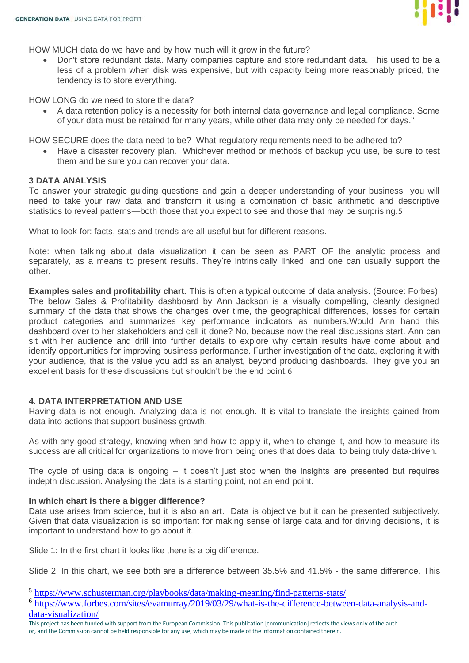

HOW MUCH data do we have and by how much will it grow in the future?

• Don't store redundant data. Many companies capture and store redundant data. This used to be a less of a problem when disk was expensive, but with capacity being more reasonably priced, the tendency is to store everything.

HOW LONG do we need to store the data?

• A data retention policy is a necessity for both internal data governance and legal compliance. Some of your data must be retained for many years, while other data may only be needed for days."

HOW SECURE does the data need to be? What regulatory requirements need to be adhered to?

• Have a disaster recovery plan. Whichever method or methods of backup you use, be sure to test them and be sure you can recover your data.

#### **3 DATA ANALYSIS**

To answer your strategic guiding questions and gain a deeper understanding of your business you will need to take your raw data and transform it using a combination of basic arithmetic and descriptive statistics to reveal patterns—both those that you expect to see and those that may be surprising.5

What to look for: facts, stats and trends are all useful but for different reasons.

Note: when talking about data visualization it can be seen as PART OF the analytic process and separately, as a means to present results. They're intrinsically linked, and one can usually support the other.

**Examples sales and profitability chart.** This is often a typical outcome of data analysis. (Source: Forbes) The below Sales & Profitability dashboard by Ann Jackson is a visually compelling, cleanly designed summary of the data that shows the changes over time, the geographical differences, losses for certain product categories and summarizes key performance indicators as numbers.Would Ann hand this dashboard over to her stakeholders and call it done? No, because now the real discussions start. Ann can sit with her audience and drill into further details to explore why certain results have come about and identify opportunities for improving business performance. Further investigation of the data, exploring it with your audience, that is the value you add as an analyst, beyond producing dashboards. They give you an excellent basis for these discussions but shouldn't be the end point.6

#### **4. DATA INTERPRETATION AND USE**

Having data is not enough. Analyzing data is not enough. It is vital to translate the insights gained from data into actions that support business growth.

As with any good strategy, knowing when and how to apply it, when to change it, and how to measure its success are all critical for organizations to move from being ones that does data, to being truly data-driven.

The cycle of using data is ongoing  $-$  it doesn't just stop when the insights are presented but requires indepth discussion. Analysing the data is a starting point, not an end point.

#### **In which chart is there a bigger difference?**

Data use arises from science, but it is also an art. Data is objective but it can be presented subjectively. Given that data visualization is so important for making sense of large data and for driving decisions, it is important to understand how to go about it.

Slide 1: In the first chart it looks like there is a big difference.

Slide 2: In this chart, we see both are a difference between 35.5% and 41.5% - the same difference. This

<sup>&</sup>lt;sup>5</sup> <https://www.schusterman.org/playbooks/data/making-meaning/find-patterns-stats/>

<sup>6</sup> [https://www.forbes.com/sites/evamurray/2019/03/29/what-is-the-difference-between-data-analysis-and](https://www.forbes.com/sites/evamurray/2019/03/29/what-is-the-difference-between-data-analysis-and-data-visualization/)[data-visualization/](https://www.forbes.com/sites/evamurray/2019/03/29/what-is-the-difference-between-data-analysis-and-data-visualization/)

This project has been funded with support from the European Commission. This publication [communication] reflects the views only of the auth or, and the Commission cannot be held responsible for any use, which may be made of the information contained therein.